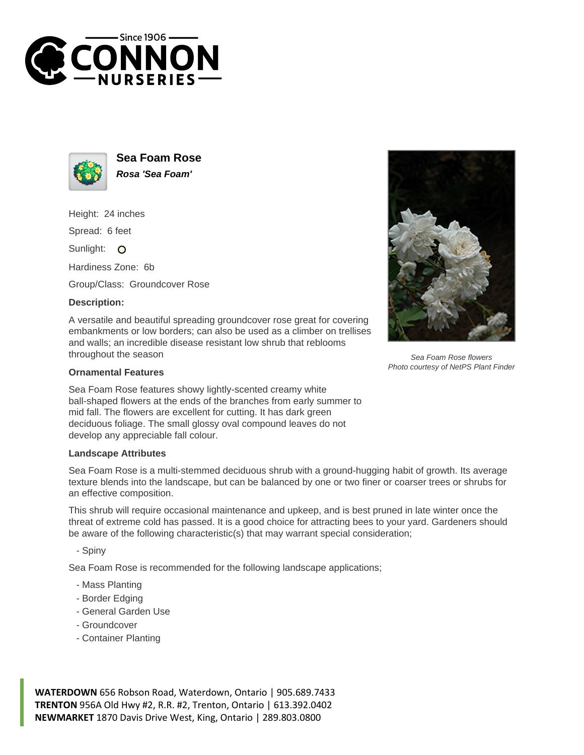



**Sea Foam Rose Rosa 'Sea Foam'**

Height: 24 inches

Spread: 6 feet

Sunlight: O

Hardiness Zone: 6b

Group/Class: Groundcover Rose

## **Description:**

A versatile and beautiful spreading groundcover rose great for covering embankments or low borders; can also be used as a climber on trellises and walls; an incredible disease resistant low shrub that reblooms throughout the season

## **Ornamental Features**

Sea Foam Rose features showy lightly-scented creamy white ball-shaped flowers at the ends of the branches from early summer to mid fall. The flowers are excellent for cutting. It has dark green deciduous foliage. The small glossy oval compound leaves do not develop any appreciable fall colour.

## **Landscape Attributes**

Sea Foam Rose is a multi-stemmed deciduous shrub with a ground-hugging habit of growth. Its average texture blends into the landscape, but can be balanced by one or two finer or coarser trees or shrubs for an effective composition.

This shrub will require occasional maintenance and upkeep, and is best pruned in late winter once the threat of extreme cold has passed. It is a good choice for attracting bees to your yard. Gardeners should be aware of the following characteristic(s) that may warrant special consideration;

- Spiny

Sea Foam Rose is recommended for the following landscape applications;

- Mass Planting
- Border Edging
- General Garden Use
- Groundcover
- Container Planting

**WATERDOWN** 656 Robson Road, Waterdown, Ontario | 905.689.7433 **TRENTON** 956A Old Hwy #2, R.R. #2, Trenton, Ontario | 613.392.0402 **NEWMARKET** 1870 Davis Drive West, King, Ontario | 289.803.0800



Sea Foam Rose flowers Photo courtesy of NetPS Plant Finder